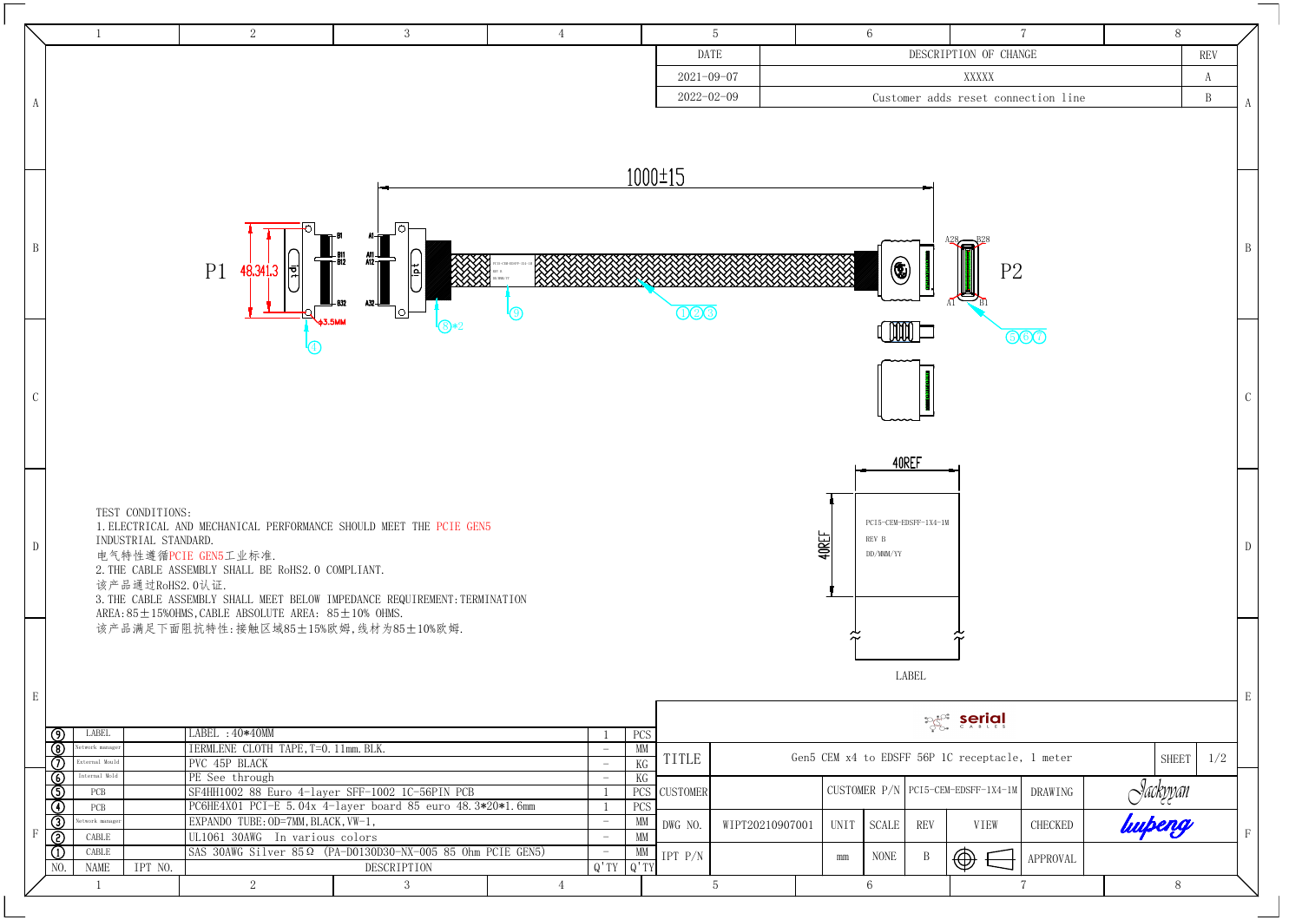